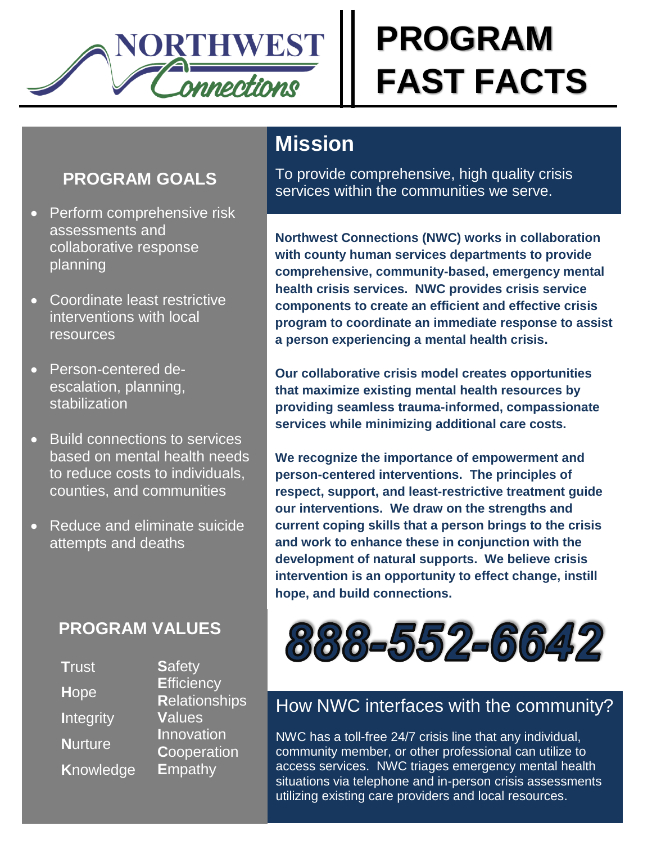

# **PROGRAM FAST FACTS**

### **PROGRAM GOALS**

- Perform comprehensive risk assessments and collaborative response planning
- Coordinate least restrictive interventions with local resources
- Person-centered deescalation, planning, stabilization
- Build connections to services based on mental health needs to reduce costs to individuals, counties, and communities
- Reduce and eliminate suicide attempts and deaths

### **PROGRAM VALUES**

**Safetv Trust Efficiency** Hope **Relationships** Values **Integrity** Innovation **Nurture** Cooperation **Knowledge E**mpathy

## **Mission**

To provide comprehensive, high quality crisis services within the communities we serve.

**Northwest Connections (NWC) works in collaboration** with county human services departments to provide comprehensive, community-based, emergency mental health crisis services. NWC provides crisis service components to create an efficient and effective crisis program to coordinate an immediate response to assist a person experiencing a mental health crisis.

Our collaborative crisis model creates opportunities that maximize existing mental health resources by providing seamless trauma-informed, compassionate services while minimizing additional care costs.

We recognize the importance of empowerment and person-centered interventions. The principles of respect, support, and least-restrictive treatment guide our interventions. We draw on the strengths and current coping skills that a person brings to the crisis and work to enhance these in conjunction with the development of natural supports. We believe crisis intervention is an opportunity to effect change, instill hope, and build connections.



## How NWC interfaces with the community?

NWC has a toll-free 24/7 crisis line that any individual, community member, or other professional can utilize to access services. NWC triages emergency mental health situations via telephone and in-person crisis assessments utilizing existing care providers and local resources.